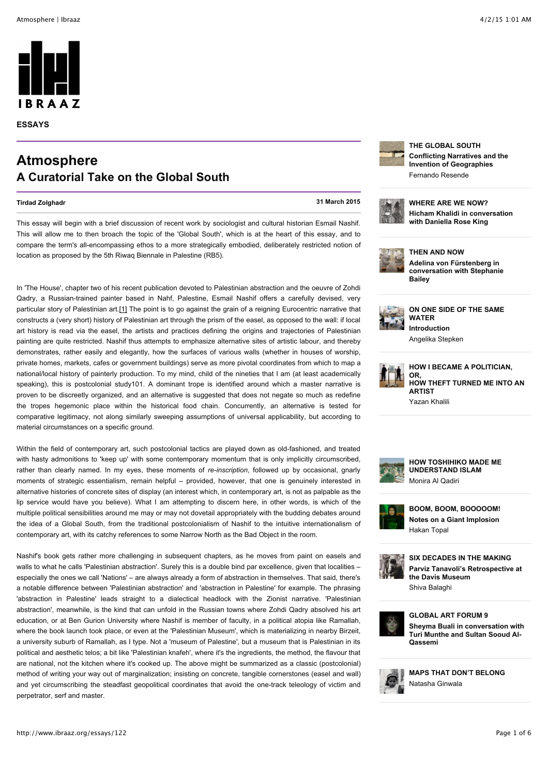

**ESSAYS**

## **Atmosphere A Curatorial Take on the Global South**

**[Tirdad Zolghadr](http://www.ibraaz.org/searchresults?author=Tirdad+Zolghadr&keyword=&title=&platform=0&from=&to) 31 March 2015**

This essay will begin with a brief discussion of recent work by sociologist and cultural historian Esmail Nashif. This will allow me to then broach the topic of the 'Global South', which is at the heart of this essay, and to compare the term's all-encompassing ethos to a more strategically embodied, deliberately restricted notion of location as proposed by the 5th Riwaq Biennale in Palestine (RB5).

In 'The House', chapter two of his recent publication devoted to Palestinian abstraction and the oeuvre of Zohdi Qadry, a Russian-trained painter based in Nahf, Palestine, Esmail Nashif offers a carefully devised, very particular story of Palestinian art[.\[1\]](http://www.ibraaz.org/essays/122#_ftn1) The point is to go against the grain of a reigning Eurocentric narrative that constructs a (very short) history of Palestinian art through the prism of the easel, as opposed to the wall: if local art history is read via the easel, the artists and practices defining the origins and trajectories of Palestinian painting are quite restricted. Nashif thus attempts to emphasize alternative sites of artistic labour, and thereby demonstrates, rather easily and elegantly, how the surfaces of various walls (whether in houses of worship, private homes, markets, cafes or government buildings) serve as more pivotal coordinates from which to map a national/local history of painterly production. To my mind, child of the nineties that I am (at least academically speaking), this is postcolonial study101. A dominant trope is identified around which a master narrative is proven to be discreetly organized, and an alternative is suggested that does not negate so much as redefine the tropes hegemonic place within the historical food chain. Concurrently, an alternative is tested for comparative legitimacy, not along similarly sweeping assumptions of universal applicability, but according to material circumstances on a specific ground.

Within the field of contemporary art, such postcolonial tactics are played down as old-fashioned, and treated with hasty admonitions to 'keep up' with some contemporary momentum that is only implicitly circumscribed, rather than clearly named. In my eyes, these moments of *re-inscription*, followed up by occasional, gnarly moments of strategic essentialism, remain helpful – provided, however, that one is genuinely interested in alternative histories of concrete sites of display (an interest which, in contemporary art, is not as palpable as the lip service would have you believe). What I am attempting to discern here, in other words, is which of the multiple political sensibilities around me may or may not dovetail appropriately with the budding debates around the idea of a Global South, from the traditional postcolonialism of Nashif to the intuitive internationalism of contemporary art, with its catchy references to some Narrow North as the Bad Object in the room.

Nashif's book gets rather more challenging in subsequent chapters, as he moves from paint on easels and walls to what he calls 'Palestinian abstraction'. Surely this is a double bind par excellence, given that localities – especially the ones we call 'Nations' – are always already a form of abstraction in themselves. That said, there's a notable difference between 'Palestinian abstraction' and 'abstraction in Palestine' for example. The phrasing 'abstraction in Palestine' leads straight to a dialectical headlock with the Zionist narrative. 'Palestinian abstraction', meanwhile, is the kind that can unfold in the Russian towns where Zohdi Qadry absolved his art education, or at Ben Gurion University where Nashif is member of faculty, in a political atopia like Ramallah, where the book launch took place, or even at the 'Palestinian Museum', which is materializing in nearby Birzeit, a university suburb of Ramallah, as I type. Not a 'museum of Palestine', but a museum that is Palestinian in its political and aesthetic telos; a bit like 'Palestinian knafeh', where it's the ingredients, the method, the flavour that are national, not the kitchen where it's cooked up. The above might be summarized as a classic (postcolonial) method of writing your way out of marginalization; insisting on concrete, tangible cornerstones (easel and wall) and yet circumscribing the steadfast geopolitical coordinates that avoid the one-track teleology of victim and perpetrator, serf and master.



**[THE GLOBAL SOUTH](http://www.ibraaz.org/essays/111) [Conflicting Narratives and the](http://www.ibraaz.org/essays/111) Invention of Geographies** Fernando Resende



**[WHERE ARE WE NOW?](http://www.ibraaz.org/interviews/121) [Hicham Khalidi in conversation](http://www.ibraaz.org/interviews/121) with Daniella Rose King**



**[THEN AND NOW](http://www.ibraaz.org/interviews/110) Adelina von Fürstenberg in [conversation with Stephanie](http://www.ibraaz.org/interviews/110) Bailey**



**[ON ONE SIDE OF THE SAME](http://www.ibraaz.org/essays/57) WATER [Introduction](http://www.ibraaz.org/essays/57)**

Angelika Stepken



**HOW I BECAME A POLITICIAN, OR, [HOW THEFT TURNED ME INTO AN](http://www.ibraaz.org/essays/20) ARTIST** Yazan Khalili



**[HOW TOSHIHIKO MADE ME](http://www.ibraaz.org/essays/119/) UNDERSTAND ISLAM** Monira Al Qadiri



**[BOOM, BOOM, BOOOOOM!](http://www.ibraaz.org/essays/118/) [Notes on a Giant Implosion](http://www.ibraaz.org/essays/118/)** Hakan Topal



**[SIX DECADES IN THE MAKING](http://www.ibraaz.org/news/114/) [Parviz Tanavoli's Retrospective at](http://www.ibraaz.org/news/114/) the Davis Museum** Shiva Balaghi



**[GLOBAL ART FORUM 9](http://www.ibraaz.org/interviews/158/) [Sheyma Buali in conversation with](http://www.ibraaz.org/interviews/158/) Turi Munthe and Sultan Sooud Al-Qassemi**



**[MAPS THAT DON'T BELONG](http://www.ibraaz.org/essays/120/)** Natasha Ginwala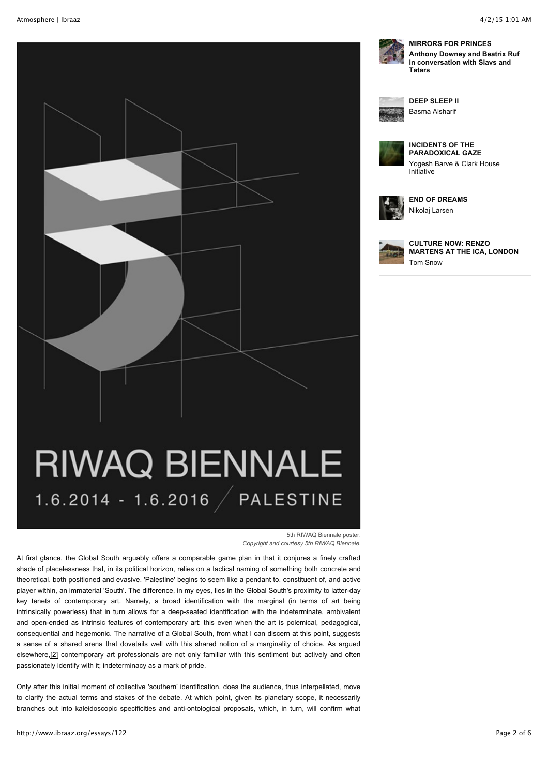

**[MIRRORS FOR PRINCES](http://www.ibraaz.org/interviews/156/) [Anthony Downey and Beatrix Ruf](http://www.ibraaz.org/interviews/156/) in conversation with Slavs and Tatars**



**[DEEP SLEEP II](http://www.ibraaz.org/projects/100/)** Basma Alsharif



**INCIDENTS OF THE [PARADOXICAL GAZE](http://www.ibraaz.org/projects/103/)** Yogesh Barve & Clark House Initiative



**[END OF DREAMS](http://www.ibraaz.org/projects/102/)** Nikolaj Larsen



**CULTURE NOW: RENZO [MARTENS AT THE ICA, LONDON](http://www.ibraaz.org/news/115/)** Tom Snow

# **RIWAQ BIENNALE** 1.6.2014 - 1.6.2016 / PALESTINE

5th RIWAQ Biennale poster. *Copyright and courtesy 5th RIWAQ Biennale.*

At first glance, the Global South arguably offers a comparable game plan in that it conjures a finely crafted shade of placelessness that, in its political horizon, relies on a tactical naming of something both concrete and theoretical, both positioned and evasive. 'Palestine' begins to seem like a pendant to, constituent of, and active player within, an immaterial 'South'. The difference, in my eyes, lies in the Global South's proximity to latter-day key tenets of contemporary art. Namely, a broad identification with the marginal (in terms of art being intrinsically powerless) that in turn allows for a deep-seated identification with the indeterminate, ambivalent and open-ended as intrinsic features of contemporary art: this even when the art is polemical, pedagogical, consequential and hegemonic. The narrative of a Global South, from what I can discern at this point, suggests a sense of a shared arena that dovetails well with this shared notion of a marginality of choice. As argued elsewhere[,\[2\]](http://www.ibraaz.org/essays/122#_ftn2) contemporary art professionals are not only familiar with this sentiment but actively and often passionately identify with it; indeterminacy as a mark of pride.

Only after this initial moment of collective 'southern' identification, does the audience, thus interpellated, move to clarify the actual terms and stakes of the debate. At which point, given its planetary scope, it necessarily branches out into kaleidoscopic specificities and anti-ontological proposals, which, in turn, will confirm what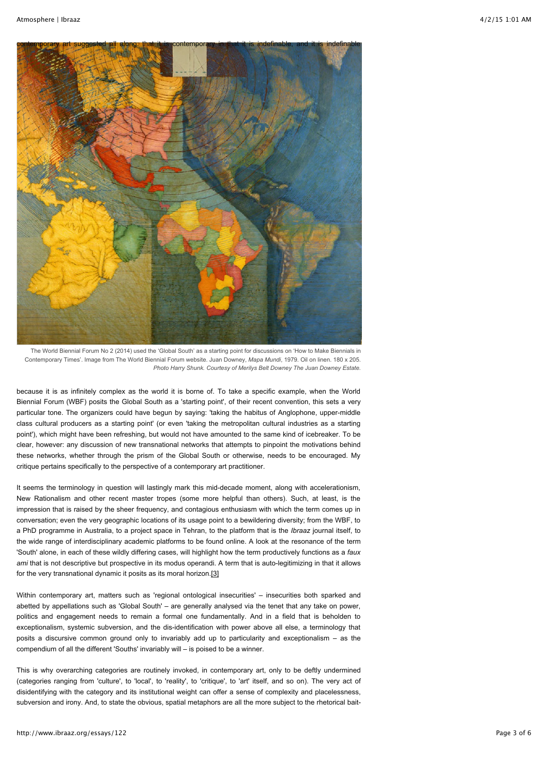

The World Biennial Forum No 2 (2014) used the 'Global South' as a starting point for discussions on 'How to Make Biennials in Contemporary Times'. Image from The World Biennial Forum website. Juan Downey, *Mapa Mundi*, 1979. Oil on linen. 180 x 205. *Photo Harry Shunk. Courtesy of Merilys Belt Downey The Juan Downey Estate.*

because it is as infinitely complex as the world it is borne of. To take a specific example, when the World Biennial Forum (WBF) posits the Global South as a 'starting point', of their recent convention, this sets a very particular tone. The organizers could have begun by saying: 'taking the habitus of Anglophone, upper-middle class cultural producers as a starting point' (or even 'taking the metropolitan cultural industries as a starting point'), which might have been refreshing, but would not have amounted to the same kind of icebreaker. To be clear, however: any discussion of new transnational networks that attempts to pinpoint the motivations behind these networks, whether through the prism of the Global South or otherwise, needs to be encouraged. My critique pertains specifically to the perspective of a contemporary art practitioner.

It seems the terminology in question will lastingly mark this mid-decade moment, along with accelerationism, New Rationalism and other recent master tropes (some more helpful than others). Such, at least, is the impression that is raised by the sheer frequency, and contagious enthusiasm with which the term comes up in conversation; even the very geographic locations of its usage point to a bewildering diversity; from the WBF, to a PhD programme in Australia, to a project space in Tehran, to the platform that is the *Ibraaz* journal itself, to the wide range of interdisciplinary academic platforms to be found online. A look at the resonance of the term 'South' alone, in each of these wildly differing cases, will highlight how the term productively functions as a *faux ami* that is not descriptive but prospective in its modus operandi. A term that is auto-legitimizing in that it allows for the very transnational dynamic it posits as its moral horizon[.\[3\]](http://www.ibraaz.org/essays/122#_ftn3)

Within contemporary art, matters such as 'regional ontological insecurities' – insecurities both sparked and abetted by appellations such as 'Global South' – are generally analysed via the tenet that any take on power, politics and engagement needs to remain a formal one fundamentally. And in a field that is beholden to exceptionalism, systemic subversion, and the dis-identification with power above all else, a terminology that posits a discursive common ground only to invariably add up to particularity and exceptionalism – as the compendium of all the different 'Souths' invariably will – is poised to be a winner.

This is why overarching categories are routinely invoked, in contemporary art, only to be deftly undermined (categories ranging from 'culture', to 'local', to 'reality', to 'critique', to 'art' itself, and so on). The very act of disidentifying with the category and its institutional weight can offer a sense of complexity and placelessness, subversion and irony. And, to state the obvious, spatial metaphors are all the more subject to the rhetorical bait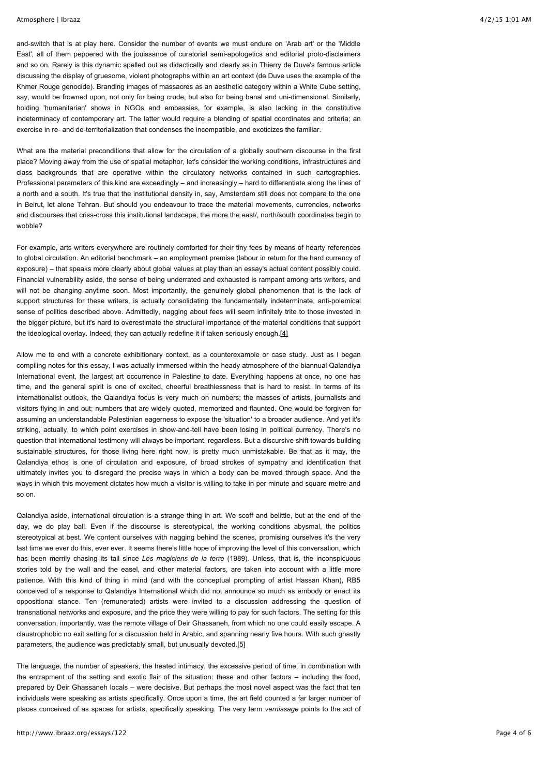and-switch that is at play here. Consider the number of events we must endure on 'Arab art' or the 'Middle East', all of them peppered with the jouissance of curatorial semi-apologetics and editorial proto-disclaimers and so on. Rarely is this dynamic spelled out as didactically and clearly as in Thierry de Duve's famous article discussing the display of gruesome, violent photographs within an art context (de Duve uses the example of the Khmer Rouge genocide). Branding images of massacres as an aesthetic category within a White Cube setting, say, would be frowned upon, not only for being crude, but also for being banal and uni-dimensional. Similarly, holding 'humanitarian' shows in NGOs and embassies, for example, is also lacking in the constitutive indeterminacy of contemporary art. The latter would require a blending of spatial coordinates and criteria; an exercise in re- and de-territorialization that condenses the incompatible, and exoticizes the familiar.

What are the material preconditions that allow for the circulation of a globally southern discourse in the first place? Moving away from the use of spatial metaphor, let's consider the working conditions, infrastructures and class backgrounds that are operative within the circulatory networks contained in such cartographies. Professional parameters of this kind are exceedingly – and increasingly – hard to differentiate along the lines of a north and a south. It's true that the institutional density in, say, Amsterdam still does not compare to the one in Beirut, let alone Tehran. But should you endeavour to trace the material movements, currencies, networks and discourses that criss-cross this institutional landscape, the more the east/, north/south coordinates begin to wobble?

For example, arts writers everywhere are routinely comforted for their tiny fees by means of hearty references to global circulation. An editorial benchmark – an employment premise (labour in return for the hard currency of exposure) – that speaks more clearly about global values at play than an essay's actual content possibly could. Financial vulnerability aside, the sense of being underrated and exhausted is rampant among arts writers, and will not be changing anytime soon. Most importantly, the genuinely global phenomenon that is the lack of support structures for these writers, is actually consolidating the fundamentally indeterminate, anti-polemical sense of politics described above. Admittedly, nagging about fees will seem infinitely trite to those invested in the bigger picture, but it's hard to overestimate the structural importance of the material conditions that support the ideological overlay. Indeed, they can actually redefine it if taken seriously enough.<sup>[4]</sup>

Allow me to end with a concrete exhibitionary context, as a counterexample or case study. Just as I began compiling notes for this essay, I was actually immersed within the heady atmosphere of the biannual Qalandiya International event, the largest art occurrence in Palestine to date. Everything happens at once, no one has time, and the general spirit is one of excited, cheerful breathlessness that is hard to resist. In terms of its internationalist outlook, the Qalandiya focus is very much on numbers; the masses of artists, journalists and visitors flying in and out; numbers that are widely quoted, memorized and flaunted. One would be forgiven for assuming an understandable Palestinian eagerness to expose the 'situation' to a broader audience. And yet it's striking, actually, to which point exercises in show-and-tell have been losing in political currency. There's no question that international testimony will always be important, regardless. But a discursive shift towards building sustainable structures, for those living here right now, is pretty much unmistakable. Be that as it may, the Qalandiya ethos is one of circulation and exposure, of broad strokes of sympathy and identification that ultimately invites you to disregard the precise ways in which a body can be moved through space. And the ways in which this movement dictates how much a visitor is willing to take in per minute and square metre and so on.

Qalandiya aside, international circulation is a strange thing in art. We scoff and belittle, but at the end of the day, we do play ball. Even if the discourse is stereotypical, the working conditions abysmal, the politics stereotypical at best. We content ourselves with nagging behind the scenes, promising ourselves it's the very last time we ever do this, ever ever. It seems there's little hope of improving the level of this conversation, which has been merrily chasing its tail since *Les magiciens de la terre* (1989). Unless, that is, the inconspicuous stories told by the wall and the easel, and other material factors, are taken into account with a little more patience. With this kind of thing in mind (and with the conceptual prompting of artist Hassan Khan), RB5 conceived of a response to Qalandiya International which did not announce so much as embody or enact its oppositional stance. Ten (remunerated) artists were invited to a discussion addressing the question of transnational networks and exposure, and the price they were willing to pay for such factors. The setting for this conversation, importantly, was the remote village of Deir Ghassaneh, from which no one could easily escape. A claustrophobic no exit setting for a discussion held in Arabic, and spanning nearly five hours. With such ghastly parameters, the audience was predictably small, but unusually devoted[.\[5\]](http://www.ibraaz.org/essays/122#_ftn5)

The language, the number of speakers, the heated intimacy, the excessive period of time, in combination with the entrapment of the setting and exotic flair of the situation: these and other factors – including the food, prepared by Deir Ghassaneh locals – were decisive. But perhaps the most novel aspect was the fact that ten individuals were speaking as artists specifically. Once upon a time, the art field counted a far larger number of places conceived of as spaces for artists, specifically speaking. The very term *vernissage* points to the act of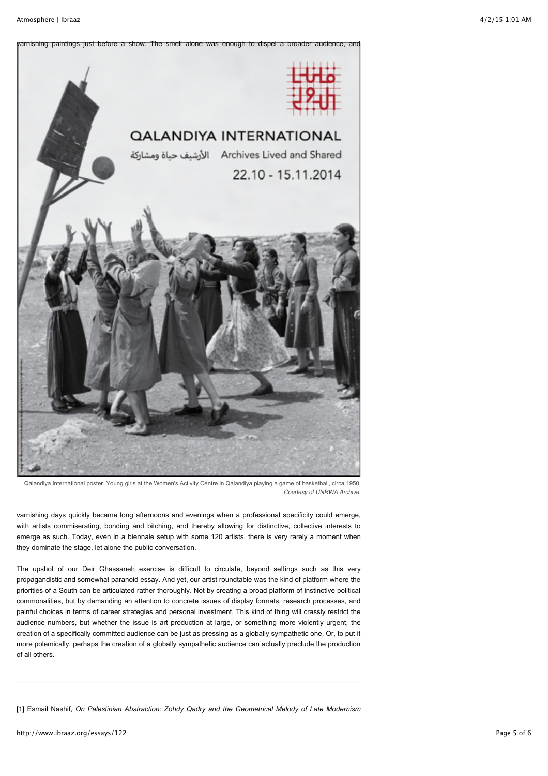

Qalandiya International poster. Young girls at the Women's Activity Centre in Qalandiya playing a game of basketball, circa 1950. *Courtesy of UNRWA Archive.*

varnishing days quickly became long afternoons and evenings when a professional specificity could emerge, with artists commiserating, bonding and bitching, and thereby allowing for distinctive, collective interests to emerge as such. Today, even in a biennale setup with some 120 artists, there is very rarely a moment when they dominate the stage, let alone the public conversation.

The upshot of our Deir Ghassaneh exercise is difficult to circulate, beyond settings such as this very propagandistic and somewhat paranoid essay. And yet, our artist roundtable was the kind of platform where the priorities of a South can be articulated rather thoroughly. Not by creating a broad platform of instinctive political commonalities, but by demanding an attention to concrete issues of display formats, research processes, and painful choices in terms of career strategies and personal investment. This kind of thing will crassly restrict the audience numbers, but whether the issue is art production at large, or something more violently urgent, the creation of a specifically committed audience can be just as pressing as a globally sympathetic one. Or, to put it more polemically, perhaps the creation of a globally sympathetic audience can actually preclude the production of all others.

[\[1\]](http://www.ibraaz.org/essays/122#_ftnref1) Esmail Nashif, *On Palestinian Abstraction: Zohdy Qadry and the Geometrical Melody of Late Modernism*